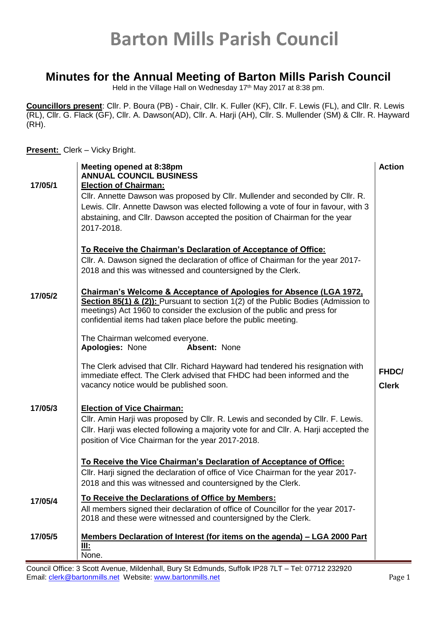#### **Minutes for the Annual Meeting of Barton Mills Parish Council**

Held in the Village Hall on Wednesday 17<sup>th</sup> May 2017 at 8:38 pm.

**Councillors present**: Cllr. P. Boura (PB) - Chair, Cllr. K. Fuller (KF), Cllr. F. Lewis (FL), and Cllr. R. Lewis (RL), Cllr. G. Flack (GF), Cllr. A. Dawson(AD), Cllr. A. Harji (AH), Cllr. S. Mullender (SM) & Cllr. R. Hayward (RH).

#### **Present:** Clerk – Vicky Bright.

|         | Meeting opened at 8:38pm<br><b>ANNUAL COUNCIL BUSINESS</b>                                                                                                                                                                                                                                                       | <b>Action</b>         |
|---------|------------------------------------------------------------------------------------------------------------------------------------------------------------------------------------------------------------------------------------------------------------------------------------------------------------------|-----------------------|
| 17/05/1 | <b>Election of Chairman:</b>                                                                                                                                                                                                                                                                                     |                       |
|         | CIIr. Annette Dawson was proposed by CIIr. Mullender and seconded by CIIr. R.                                                                                                                                                                                                                                    |                       |
|         | Lewis. Cllr. Annette Dawson was elected following a vote of four in favour, with 3                                                                                                                                                                                                                               |                       |
|         | abstaining, and Cllr. Dawson accepted the position of Chairman for the year                                                                                                                                                                                                                                      |                       |
|         | 2017-2018.                                                                                                                                                                                                                                                                                                       |                       |
|         | To Receive the Chairman's Declaration of Acceptance of Office:                                                                                                                                                                                                                                                   |                       |
|         | CIIr. A. Dawson signed the declaration of office of Chairman for the year 2017-                                                                                                                                                                                                                                  |                       |
|         | 2018 and this was witnessed and countersigned by the Clerk.                                                                                                                                                                                                                                                      |                       |
| 17/05/2 | <b>Chairman's Welcome &amp; Acceptance of Apologies for Absence (LGA 1972,</b><br>Section 85(1) & (2)): Pursuant to section 1(2) of the Public Bodies (Admission to<br>meetings) Act 1960 to consider the exclusion of the public and press for<br>confidential items had taken place before the public meeting. |                       |
|         | The Chairman welcomed everyone.                                                                                                                                                                                                                                                                                  |                       |
|         | Absent: None<br><b>Apologies: None</b>                                                                                                                                                                                                                                                                           |                       |
|         | The Clerk advised that Cllr. Richard Hayward had tendered his resignation with<br>immediate effect. The Clerk advised that FHDC had been informed and the<br>vacancy notice would be published soon.                                                                                                             | FHDC/<br><b>Clerk</b> |
| 17/05/3 | <b>Election of Vice Chairman:</b>                                                                                                                                                                                                                                                                                |                       |
|         | CIIr. Amin Harji was proposed by CIIr. R. Lewis and seconded by CIIr. F. Lewis.                                                                                                                                                                                                                                  |                       |
|         | CIIr. Harji was elected following a majority vote for and CIIr. A. Harji accepted the<br>position of Vice Chairman for the year 2017-2018.                                                                                                                                                                       |                       |
|         |                                                                                                                                                                                                                                                                                                                  |                       |
|         | To Receive the Vice Chairman's Declaration of Acceptance of Office:                                                                                                                                                                                                                                              |                       |
|         | Cllr. Harji signed the declaration of office of Vice Chairman for the year 2017-                                                                                                                                                                                                                                 |                       |
|         | 2018 and this was witnessed and countersigned by the Clerk.                                                                                                                                                                                                                                                      |                       |
| 17/05/4 | To Receive the Declarations of Office by Members:                                                                                                                                                                                                                                                                |                       |
|         | All members signed their declaration of office of Councillor for the year 2017-                                                                                                                                                                                                                                  |                       |
|         | 2018 and these were witnessed and countersigned by the Clerk.                                                                                                                                                                                                                                                    |                       |
| 17/05/5 | Members Declaration of Interest (for items on the agenda) - LGA 2000 Part                                                                                                                                                                                                                                        |                       |
|         | III:<br>None.                                                                                                                                                                                                                                                                                                    |                       |

Council Office: 3 Scott Avenue, Mildenhall, Bury St Edmunds, Suffolk IP28 7LT – Tel: 07712 232920 Email: [clerk@bartonmills.net](mailto:clerk@bartonmills.net) Website: [www.bartonmills.net](http://www.bartonmills.net/) example and a set of page 1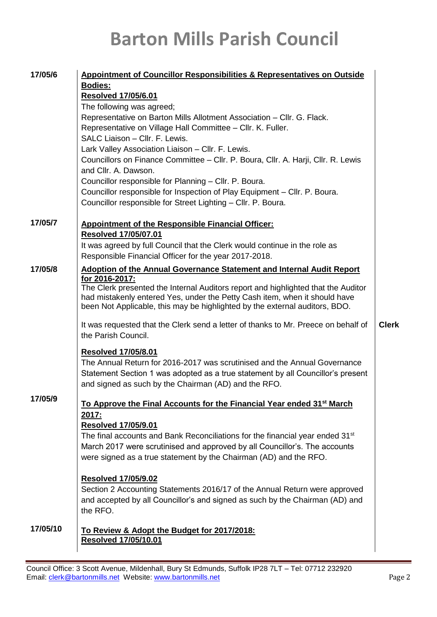|          | 17/05/6<br><b>Appointment of Councillor Responsibilities &amp; Representatives on Outside</b>                                                              |              |  |  |
|----------|------------------------------------------------------------------------------------------------------------------------------------------------------------|--------------|--|--|
|          | <b>Bodies:</b>                                                                                                                                             |              |  |  |
|          | <b>Resolved 17/05/6.01</b>                                                                                                                                 |              |  |  |
|          | The following was agreed;                                                                                                                                  |              |  |  |
|          | Representative on Barton Mills Allotment Association - Cllr. G. Flack.                                                                                     |              |  |  |
|          | Representative on Village Hall Committee - Cllr. K. Fuller.                                                                                                |              |  |  |
|          | SALC Liaison - Cllr. F. Lewis.                                                                                                                             |              |  |  |
|          | Lark Valley Association Liaison - Cllr. F. Lewis.                                                                                                          |              |  |  |
|          | Councillors on Finance Committee - Cllr. P. Boura, Cllr. A. Harji, Cllr. R. Lewis<br>and Cllr. A. Dawson.                                                  |              |  |  |
|          | Councillor responsible for Planning - Cllr. P. Boura.                                                                                                      |              |  |  |
|          | Councillor responsible for Inspection of Play Equipment - Cllr. P. Boura.                                                                                  |              |  |  |
|          | Councillor responsible for Street Lighting - Cllr. P. Boura.                                                                                               |              |  |  |
|          |                                                                                                                                                            |              |  |  |
| 17/05/7  | <b>Appointment of the Responsible Financial Officer:</b>                                                                                                   |              |  |  |
|          | <b>Resolved 17/05/07.01</b>                                                                                                                                |              |  |  |
|          | It was agreed by full Council that the Clerk would continue in the role as                                                                                 |              |  |  |
|          | Responsible Financial Officer for the year 2017-2018.                                                                                                      |              |  |  |
| 17/05/8  | <b>Adoption of the Annual Governance Statement and Internal Audit Report</b>                                                                               |              |  |  |
|          | for 2016-2017:                                                                                                                                             |              |  |  |
|          | The Clerk presented the Internal Auditors report and highlighted that the Auditor                                                                          |              |  |  |
|          | had mistakenly entered Yes, under the Petty Cash item, when it should have                                                                                 |              |  |  |
|          | been Not Applicable, this may be highlighted by the external auditors, BDO.                                                                                |              |  |  |
|          | It was requested that the Clerk send a letter of thanks to Mr. Preece on behalf of                                                                         | <b>Clerk</b> |  |  |
|          |                                                                                                                                                            |              |  |  |
|          |                                                                                                                                                            |              |  |  |
|          | the Parish Council.                                                                                                                                        |              |  |  |
|          | <b>Resolved 17/05/8.01</b>                                                                                                                                 |              |  |  |
|          | The Annual Return for 2016-2017 was scrutinised and the Annual Governance                                                                                  |              |  |  |
|          | Statement Section 1 was adopted as a true statement by all Councillor's present                                                                            |              |  |  |
|          | and signed as such by the Chairman (AD) and the RFO.                                                                                                       |              |  |  |
| 17/05/9  |                                                                                                                                                            |              |  |  |
|          | To Approve the Final Accounts for the Financial Year ended 31 <sup>st</sup> March                                                                          |              |  |  |
|          | 2017:                                                                                                                                                      |              |  |  |
|          | <b>Resolved 17/05/9.01</b>                                                                                                                                 |              |  |  |
|          | The final accounts and Bank Reconciliations for the financial year ended 31 <sup>st</sup>                                                                  |              |  |  |
|          | March 2017 were scrutinised and approved by all Councillor's. The accounts                                                                                 |              |  |  |
|          | were signed as a true statement by the Chairman (AD) and the RFO.                                                                                          |              |  |  |
|          |                                                                                                                                                            |              |  |  |
|          | <b>Resolved 17/05/9.02</b>                                                                                                                                 |              |  |  |
|          | Section 2 Accounting Statements 2016/17 of the Annual Return were approved<br>and accepted by all Councillor's and signed as such by the Chairman (AD) and |              |  |  |
|          | the RFO.                                                                                                                                                   |              |  |  |
|          |                                                                                                                                                            |              |  |  |
| 17/05/10 | To Review & Adopt the Budget for 2017/2018:                                                                                                                |              |  |  |
|          | <b>Resolved 17/05/10.01</b>                                                                                                                                |              |  |  |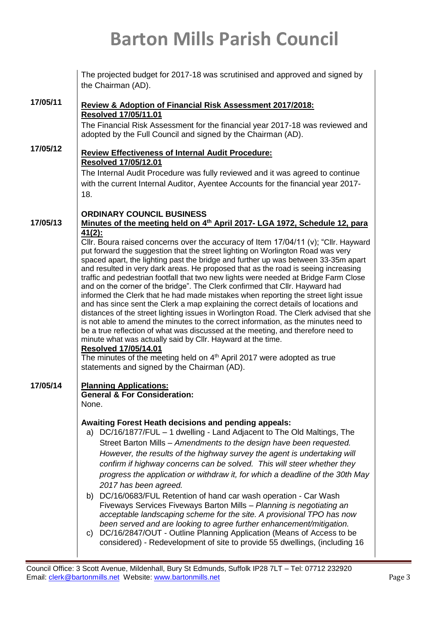| The projected budget for 2017-18 was scrutinised and approved and signed by<br>the Chairman (AD).                                                                                                                                                                                                                                                                                                                                                                                                                                                                                                                                                                                                                                                                                                                                                                                                                                                                                                                                                                                                                                                                                                                                                                                                                                    |  |  |  |
|--------------------------------------------------------------------------------------------------------------------------------------------------------------------------------------------------------------------------------------------------------------------------------------------------------------------------------------------------------------------------------------------------------------------------------------------------------------------------------------------------------------------------------------------------------------------------------------------------------------------------------------------------------------------------------------------------------------------------------------------------------------------------------------------------------------------------------------------------------------------------------------------------------------------------------------------------------------------------------------------------------------------------------------------------------------------------------------------------------------------------------------------------------------------------------------------------------------------------------------------------------------------------------------------------------------------------------------|--|--|--|
| Review & Adoption of Financial Risk Assessment 2017/2018:<br><b>Resolved 17/05/11.01</b><br>The Financial Risk Assessment for the financial year 2017-18 was reviewed and<br>adopted by the Full Council and signed by the Chairman (AD).                                                                                                                                                                                                                                                                                                                                                                                                                                                                                                                                                                                                                                                                                                                                                                                                                                                                                                                                                                                                                                                                                            |  |  |  |
| <b>Review Effectiveness of Internal Audit Procedure:</b><br><b>Resolved 17/05/12.01</b><br>The Internal Audit Procedure was fully reviewed and it was agreed to continue<br>with the current Internal Auditor, Ayentee Accounts for the financial year 2017-<br>18.                                                                                                                                                                                                                                                                                                                                                                                                                                                                                                                                                                                                                                                                                                                                                                                                                                                                                                                                                                                                                                                                  |  |  |  |
| <b>ORDINARY COUNCIL BUSINESS</b><br>Minutes of the meeting held on 4th April 2017- LGA 1972, Schedule 12, para<br>$41(2)$ :<br>Cllr. Boura raised concerns over the accuracy of Item $17/04/11$ (v); "Cllr. Hayward<br>put forward the suggestion that the street lighting on Worlington Road was very<br>spaced apart, the lighting past the bridge and further up was between 33-35m apart<br>and resulted in very dark areas. He proposed that as the road is seeing increasing<br>traffic and pedestrian footfall that two new lights were needed at Bridge Farm Close<br>and on the corner of the bridge". The Clerk confirmed that Cllr. Hayward had<br>informed the Clerk that he had made mistakes when reporting the street light issue<br>and has since sent the Clerk a map explaining the correct details of locations and<br>distances of the street lighting issues in Worlington Road. The Clerk advised that she<br>is not able to amend the minutes to the correct information, as the minutes need to<br>be a true reflection of what was discussed at the meeting, and therefore need to<br>minute what was actually said by Cllr. Hayward at the time.<br><b>Resolved 17/05/14.01</b><br>The minutes of the meeting held on $4th$ April 2017 were adopted as true<br>statements and signed by the Chairman (AD). |  |  |  |
| <b>Planning Applications:</b><br><b>General &amp; For Consideration:</b><br>None.<br><b>Awaiting Forest Heath decisions and pending appeals:</b><br>a) DC/16/1877/FUL - 1 dwelling - Land Adjacent to The Old Maltings, The<br>Street Barton Mills – Amendments to the design have been requested.<br>However, the results of the highway survey the agent is undertaking will<br>confirm if highway concerns can be solved. This will steer whether they<br>progress the application or withdraw it, for which a deadline of the 30th May<br>2017 has been agreed.<br>b) DC/16/0683/FUL Retention of hand car wash operation - Car Wash<br>Fiveways Services Fiveways Barton Mills - Planning is negotiating an<br>acceptable landscaping scheme for the site. A provisional TPO has now<br>been served and are looking to agree further enhancement/mitigation.<br>DC/16/2847/OUT - Outline Planning Application (Means of Access to be<br>C)<br>considered) - Redevelopment of site to provide 55 dwellings, (including 16                                                                                                                                                                                                                                                                                                        |  |  |  |
|                                                                                                                                                                                                                                                                                                                                                                                                                                                                                                                                                                                                                                                                                                                                                                                                                                                                                                                                                                                                                                                                                                                                                                                                                                                                                                                                      |  |  |  |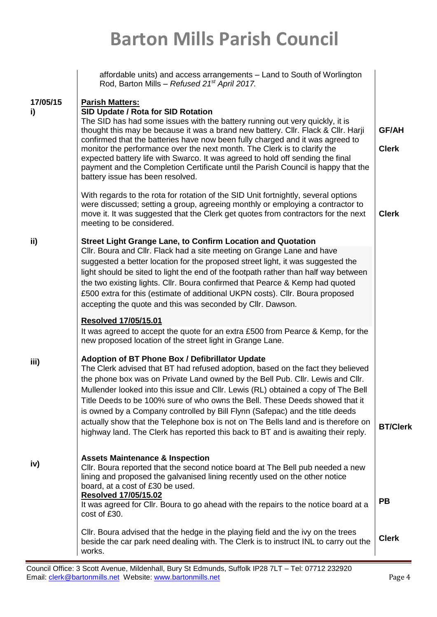|                | affordable units) and access arrangements - Land to South of Worlington<br>Rod, Barton Mills - Refused 21 <sup>st</sup> April 2017.                                                                                                                                                                                                                                                                                                                                                                                                                                                                                                                 |                              |
|----------------|-----------------------------------------------------------------------------------------------------------------------------------------------------------------------------------------------------------------------------------------------------------------------------------------------------------------------------------------------------------------------------------------------------------------------------------------------------------------------------------------------------------------------------------------------------------------------------------------------------------------------------------------------------|------------------------------|
| 17/05/15<br>i) | <b>Parish Matters:</b><br>SID Update / Rota for SID Rotation<br>The SID has had some issues with the battery running out very quickly, it is<br>thought this may be because it was a brand new battery. Cllr. Flack & Cllr. Harji<br>confirmed that the batteries have now been fully charged and it was agreed to<br>monitor the performance over the next month. The Clerk is to clarify the<br>expected battery life with Swarco. It was agreed to hold off sending the final<br>payment and the Completion Certificate until the Parish Council is happy that the<br>battery issue has been resolved.                                           | <b>GF/AH</b><br><b>Clerk</b> |
|                | With regards to the rota for rotation of the SID Unit fortnightly, several options<br>were discussed; setting a group, agreeing monthly or employing a contractor to<br>move it. It was suggested that the Clerk get quotes from contractors for the next<br>meeting to be considered.                                                                                                                                                                                                                                                                                                                                                              | <b>Clerk</b>                 |
| ii)            | <b>Street Light Grange Lane, to Confirm Location and Quotation</b><br>CIIr. Boura and CIIr. Flack had a site meeting on Grange Lane and have<br>suggested a better location for the proposed street light, it was suggested the<br>light should be sited to light the end of the footpath rather than half way between<br>the two existing lights. Cllr. Boura confirmed that Pearce & Kemp had quoted<br>£500 extra for this (estimate of additional UKPN costs). Cllr. Boura proposed<br>accepting the quote and this was seconded by CIIr. Dawson.                                                                                               |                              |
|                | <b>Resolved 17/05/15.01</b><br>It was agreed to accept the quote for an extra £500 from Pearce & Kemp, for the<br>new proposed location of the street light in Grange Lane.                                                                                                                                                                                                                                                                                                                                                                                                                                                                         |                              |
| iii)           | Adoption of BT Phone Box / Defibrillator Update<br>The Clerk advised that BT had refused adoption, based on the fact they believed<br>the phone box was on Private Land owned by the Bell Pub. Cllr. Lewis and Cllr.<br>Mullender looked into this issue and Cllr. Lewis (RL) obtained a copy of The Bell<br>Title Deeds to be 100% sure of who owns the Bell. These Deeds showed that it<br>is owned by a Company controlled by Bill Flynn (Safepac) and the title deeds<br>actually show that the Telephone box is not on The Bells land and is therefore on<br>highway land. The Clerk has reported this back to BT and is awaiting their reply. | <b>BT/Clerk</b>              |
| iv)            | <b>Assets Maintenance &amp; Inspection</b><br>Cllr. Boura reported that the second notice board at The Bell pub needed a new<br>lining and proposed the galvanised lining recently used on the other notice<br>board, at a cost of £30 be used.<br><b>Resolved 17/05/15.02</b><br>It was agreed for CIIr. Boura to go ahead with the repairs to the notice board at a<br>cost of £30.                                                                                                                                                                                                                                                               | <b>PB</b>                    |
|                | CIIr. Boura advised that the hedge in the playing field and the ivy on the trees<br>beside the car park need dealing with. The Clerk is to instruct INL to carry out the<br>works.                                                                                                                                                                                                                                                                                                                                                                                                                                                                  | <b>Clerk</b>                 |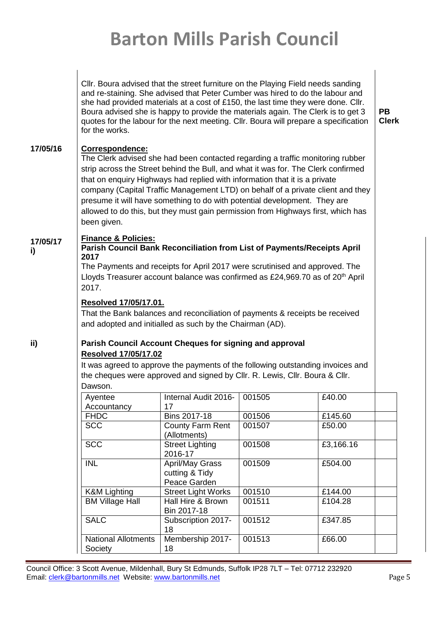|                | CIIr. Boura advised that the street furniture on the Playing Field needs sanding<br>and re-staining. She advised that Peter Cumber was hired to do the labour and<br>she had provided materials at a cost of £150, the last time they were done. Cllr.<br>Boura advised she is happy to provide the materials again. The Clerk is to get 3<br>quotes for the labour for the next meeting. Cllr. Boura will prepare a specification<br>for the works.                                                                                           | PB.<br><b>Clerk</b> |
|----------------|------------------------------------------------------------------------------------------------------------------------------------------------------------------------------------------------------------------------------------------------------------------------------------------------------------------------------------------------------------------------------------------------------------------------------------------------------------------------------------------------------------------------------------------------|---------------------|
| 17/05/16       | <b>Correspondence:</b><br>The Clerk advised she had been contacted regarding a traffic monitoring rubber<br>strip across the Street behind the Bull, and what it was for. The Clerk confirmed<br>that on enquiry Highways had replied with information that it is a private<br>company (Capital Traffic Management LTD) on behalf of a private client and they<br>presume it will have something to do with potential development. They are<br>allowed to do this, but they must gain permission from Highways first, which has<br>been given. |                     |
| 17/05/17<br>i) | <b>Finance &amp; Policies:</b><br><b>Parish Council Bank Reconciliation from List of Payments/Receipts April</b><br>2017                                                                                                                                                                                                                                                                                                                                                                                                                       |                     |

The Payments and receipts for April 2017 were scrutinised and approved. The Lloyds Treasurer account balance was confirmed as £24,969.70 as of  $20<sup>th</sup>$  April 2017.

#### **Resolved 17/05/17.01.**

That the Bank balances and reconciliation of payments & receipts be received and adopted and initialled as such by the Chairman (AD).

**ii)**

**i)**

#### **Parish Council Account Cheques for signing and approval Resolved 17/05/17.02**

It was agreed to approve the payments of the following outstanding invoices and the cheques were approved and signed by Cllr. R. Lewis, Cllr. Boura & Cllr. Dawson.

| Ayentee                               | Internal Audit 2016-                                     | 001505 | £40.00    |
|---------------------------------------|----------------------------------------------------------|--------|-----------|
| Accountancy                           | 17                                                       |        |           |
| <b>FHDC</b>                           | <b>Bins 2017-18</b>                                      | 001506 | £145.60   |
| <b>SCC</b>                            | County Farm Rent<br>(Allotments)                         | 001507 | £50.00    |
| <b>SCC</b>                            | <b>Street Lighting</b><br>2016-17                        | 001508 | £3,166.16 |
| <b>INL</b>                            | <b>April/May Grass</b><br>cutting & Tidy<br>Peace Garden | 001509 | £504.00   |
| <b>K&amp;M Lighting</b>               | <b>Street Light Works</b>                                | 001510 | £144.00   |
| <b>BM Village Hall</b>                | Hall Hire & Brown<br>Bin 2017-18                         | 001511 | £104.28   |
| <b>SALC</b>                           | Subscription 2017-<br>18                                 | 001512 | £347.85   |
| <b>National Allotments</b><br>Society | Membership 2017-<br>18                                   | 001513 | £66.00    |